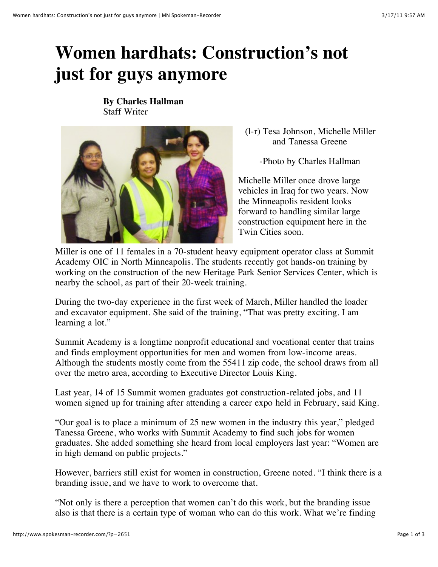## **Women hardhats: Construction's not just for guys anymore**

**By Charles Hallman** Staff Writer



(l-r) Tesa Johnson, Michelle Miller and Tanessa Greene

-Photo by Charles Hallman

Michelle Miller once drove large vehicles in Iraq for two years. Now the Minneapolis resident looks forward to handling similar large construction equipment here in the Twin Cities soon.

Miller is one of 11 females in a 70-student heavy equipment operator class at Summit Academy OIC in North Minneapolis. The students recently got hands-on training by working on the construction of the new Heritage Park Senior Services Center, which is nearby the school, as part of their 20-week training.

During the two-day experience in the first week of March, Miller handled the loader and excavator equipment. She said of the training, "That was pretty exciting. I am learning a lot."

Summit Academy is a longtime nonprofit educational and vocational center that trains and finds employment opportunities for men and women from low-income areas. Although the students mostly come from the 55411 zip code, the school draws from all over the metro area, according to Executive Director Louis King.

Last year, 14 of 15 Summit women graduates got construction-related jobs, and 11 women signed up for training after attending a career expo held in February, said King.

"Our goal is to place a minimum of 25 new women in the industry this year," pledged Tanessa Greene, who works with Summit Academy to find such jobs for women graduates. She added something she heard from local employers last year: "Women are in high demand on public projects."

However, barriers still exist for women in construction, Greene noted. "I think there is a branding issue, and we have to work to overcome that.

"Not only is there a perception that women can't do this work, but the branding issue also is that there is a certain type of woman who can do this work. What we're finding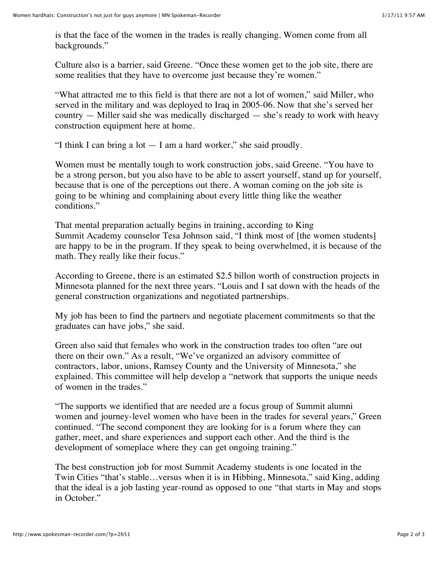is that the face of the women in the trades is really changing. Women come from all backgrounds."

Culture also is a barrier, said Greene. "Once these women get to the job site, there are some realities that they have to overcome just because they're women."

"What attracted me to this field is that there are not a lot of women," said Miller, who served in the military and was deployed to Iraq in 2005-06. Now that she's served her country — Miller said she was medically discharged — she's ready to work with heavy construction equipment here at home.

"I think I can bring a lot — I am a hard worker," she said proudly.

Women must be mentally tough to work construction jobs, said Greene. "You have to be a strong person, but you also have to be able to assert yourself, stand up for yourself, because that is one of the perceptions out there. A woman coming on the job site is going to be whining and complaining about every little thing like the weather conditions."

That mental preparation actually begins in training, according to King Summit Academy counselor Tesa Johnson said, "I think most of [the women students] are happy to be in the program. If they speak to being overwhelmed, it is because of the math. They really like their focus."

According to Greene, there is an estimated \$2.5 billon worth of construction projects in Minnesota planned for the next three years. "Louis and I sat down with the heads of the general construction organizations and negotiated partnerships.

My job has been to find the partners and negotiate placement commitments so that the graduates can have jobs," she said.

Green also said that females who work in the construction trades too often "are out there on their own." As a result, "We've organized an advisory committee of contractors, labor, unions, Ramsey County and the University of Minnesota," she explained. This committee will help develop a "network that supports the unique needs of women in the trades."

"The supports we identified that are needed are a focus group of Summit alumni women and journey-level women who have been in the trades for several years," Green continued. "The second component they are looking for is a forum where they can gather, meet, and share experiences and support each other. And the third is the development of someplace where they can get ongoing training."

The best construction job for most Summit Academy students is one located in the Twin Cities "that's stable…versus when it is in Hibbing, Minnesota," said King, adding that the ideal is a job lasting year-round as opposed to one "that starts in May and stops in October."